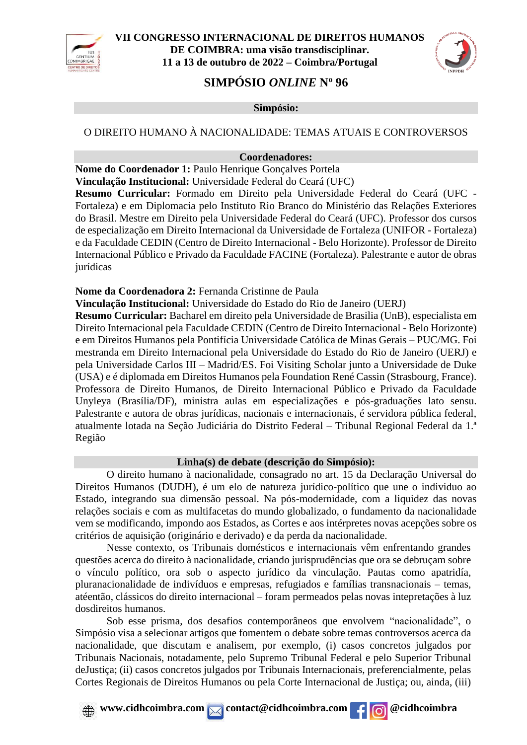



# **SIMPÓSIO** *ONLINE* **N<sup>o</sup> 96**

#### **Simpósio:**

### O DIREITO HUMANO À NACIONALIDADE: TEMAS ATUAIS E CONTROVERSOS

#### **Coordenadores:**

**Nome do Coordenador 1:** Paulo Henrique Gonçalves Portela

**Vinculação Institucional:** Universidade Federal do Ceará (UFC)

**Resumo Curricular:** Formado em Direito pela Universidade Federal do Ceará (UFC - Fortaleza) e em Diplomacia pelo Instituto Rio Branco do Ministério das Relações Exteriores do Brasil. Mestre em Direito pela Universidade Federal do Ceará (UFC). Professor dos cursos de especialização em Direito Internacional da Universidade de Fortaleza (UNIFOR - Fortaleza) e da Faculdade CEDIN (Centro de Direito Internacional - Belo Horizonte). Professor de Direito Internacional Público e Privado da Faculdade FACINE (Fortaleza). Palestrante e autor de obras iurídicas

**Nome da Coordenadora 2:** Fernanda Cristinne de Paula

**Vinculação Institucional:** Universidade do Estado do Rio de Janeiro (UERJ)

**Resumo Curricular:** Bacharel em direito pela Universidade de Brasilia (UnB), especialista em Direito Internacional pela Faculdade CEDIN (Centro de Direito Internacional - Belo Horizonte) e em Direitos Humanos pela Pontifícia Universidade Católica de Minas Gerais – PUC/MG. Foi mestranda em Direito Internacional pela Universidade do Estado do Rio de Janeiro (UERJ) e pela Universidade Carlos III – Madrid/ES. Foi Visiting Scholar junto a Universidade de Duke (USA) e é diplomada em Direitos Humanos pela Foundation René Cassin (Strasbourg, France). Professora de Direito Humanos, de Direito Internacional Público e Privado da Faculdade Unyleya (Brasília/DF), ministra aulas em especializações e pós-graduações lato sensu. Palestrante e autora de obras jurídicas, nacionais e internacionais, é servidora pública federal, atualmente lotada na Seção Judiciária do Distrito Federal – Tribunal Regional Federal da 1.ª Região

#### **Linha(s) de debate (descrição do Simpósio):**

O direito humano à nacionalidade, consagrado no art. 15 da Declaração Universal do Direitos Humanos (DUDH), é um elo de natureza jurídico-político que une o individuo ao Estado, integrando sua dimensão pessoal. Na pós-modernidade, com a liquidez das novas relações sociais e com as multifacetas do mundo globalizado, o fundamento da nacionalidade vem se modificando, impondo aos Estados, as Cortes e aos intérpretes novas acepções sobre os critérios de aquisição (originário e derivado) e da perda da nacionalidade.

Nesse contexto, os Tribunais domésticos e internacionais vêm enfrentando grandes questões acerca do direito à nacionalidade, criando jurisprudências que ora se debruçam sobre o vínculo político, ora sob o aspecto jurídico da vinculação. Pautas como apatridía, pluranacionalidade de indivíduos e empresas, refugiados e famílias transnacionais – temas, atéentão, clássicos do direito internacional – foram permeados pelas novas intepretações à luz dosdireitos humanos.

Sob esse prisma, dos desafios contemporâneos que envolvem "nacionalidade", o Simpósio visa a selecionar artigos que fomentem o debate sobre temas controversos acerca da nacionalidade, que discutam e analisem, por exemplo, (i) casos concretos julgados por Tribunais Nacionais, notadamente, pelo Supremo Tribunal Federal e pelo Superior Tribunal deJustiça; (ii) casos concretos julgados por Tribunais Internacionais, preferencialmente, pelas Cortes Regionais de Direitos Humanos ou pela Corte Internacional de Justiça; ou, ainda, (iii)

*A* www.cidhcoimbra.com contact@cidhcoimbra.com **f c c**idhcoimbra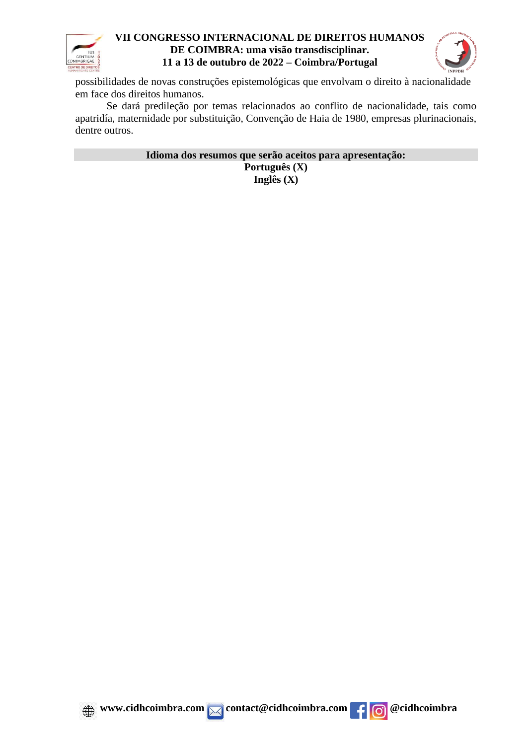



possibilidades de novas construções epistemológicas que envolvam o direito à nacionalidade em face dos direitos humanos.

Se dará predileção por temas relacionados ao conflito de nacionalidade, tais como apatridía, maternidade por substituição, Convenção de Haia de 1980, empresas plurinacionais, dentre outros.

> **Idioma dos resumos que serão aceitos para apresentação: Português (X) Inglês (X)**



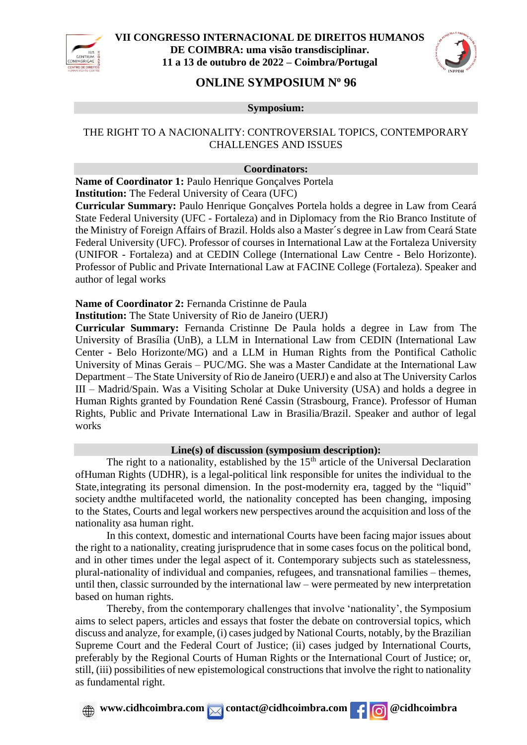



# **ONLINE SYMPOSIUM N<sup>o</sup> 96**

**Symposium:**

## THE RIGHT TO A NACIONALITY: CONTROVERSIAL TOPICS, CONTEMPORARY CHALLENGES AND ISSUES

#### **Coordinators:**

**Name of Coordinator 1:** Paulo Henrique Gonçalves Portela

**Institution:** The Federal University of Ceara (UFC)

**Curricular Summary:** Paulo Henrique Gonçalves Portela holds a degree in Law from Ceará State Federal University (UFC - Fortaleza) and in Diplomacy from the Rio Branco Institute of the Ministry of Foreign Affairs of Brazil. Holds also a Master´s degree in Law from Ceará State Federal University (UFC). Professor of courses in International Law at the Fortaleza University (UNIFOR - Fortaleza) and at CEDIN College (International Law Centre - Belo Horizonte). Professor of Public and Private International Law at FACINE College (Fortaleza). Speaker and author of legal works

**Name of Coordinator 2:** Fernanda Cristinne de Paula

**Institution:** The State University of Rio de Janeiro (UERJ)

**Curricular Summary:** Fernanda Cristinne De Paula holds a degree in Law from The University of Brasília (UnB), a LLM in International Law from CEDIN (International Law Center - Belo Horizonte/MG) and a LLM in Human Rights from the Pontifical Catholic University of Minas Gerais – PUC/MG. She was a Master Candidate at the International Law Department – The State University of Rio de Janeiro (UERJ) e and also at The University Carlos III – Madrid/Spain. Was a Visiting Scholar at Duke University (USA) and holds a degree in Human Rights granted by Foundation René Cassin (Strasbourg, France). Professor of Human Rights, Public and Private International Law in Brasilia/Brazil. Speaker and author of legal works

### **Line(s) of discussion (symposium description):**

The right to a nationality, established by the  $15<sup>th</sup>$  article of the Universal Declaration ofHuman Rights (UDHR), is a legal-political link responsible for unites the individual to the State, integrating its personal dimension. In the post-modernity era, tagged by the "liquid" society andthe multifaceted world, the nationality concepted has been changing, imposing to the States, Courts and legal workers new perspectives around the acquisition and loss of the nationality asa human right.

In this context, domestic and international Courts have been facing major issues about the right to a nationality, creating jurisprudence that in some cases focus on the political bond, and in other times under the legal aspect of it. Contemporary subjects such as statelessness, plural-nationality of individual and companies, refugees, and transnational families – themes, until then, classic surrounded by the international law – were permeated by new interpretation based on human rights.

Thereby, from the contemporary challenges that involve 'nationality', the Symposium aims to select papers, articles and essays that foster the debate on controversial topics, which discuss and analyze, for example, (i) cases judged by National Courts, notably, by the Brazilian Supreme Court and the Federal Court of Justice; (ii) cases judged by International Courts, preferably by the Regional Courts of Human Rights or the International Court of Justice; or, still, (iii) possibilities of new epistemological constructions that involve the right to nationality as fundamental right.

*www.cidhcoimbra.com* **contact@cidhcoimbra.com**  $\left| \right|$  **<b>c** @cidhcoimbra